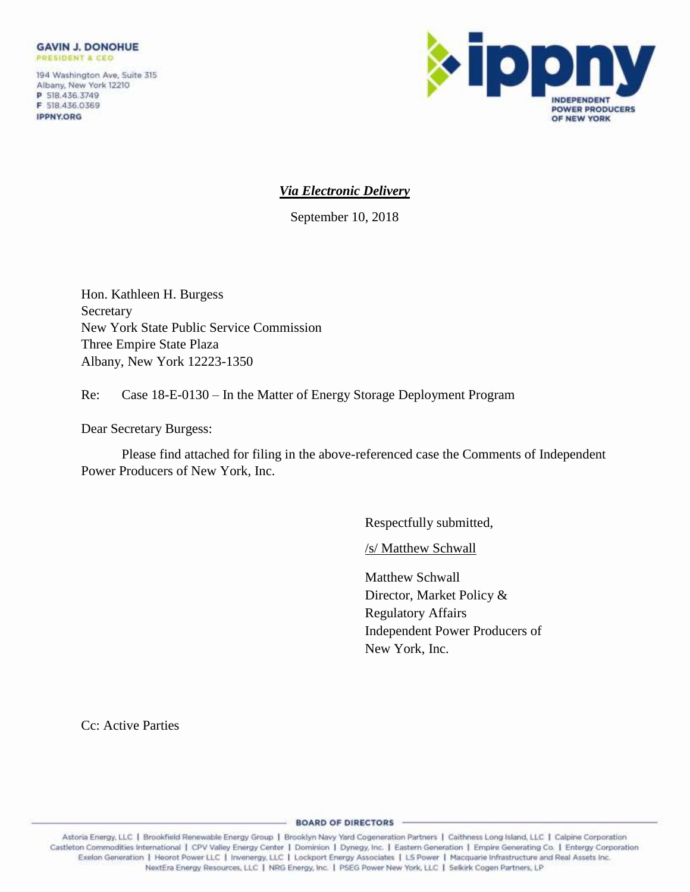194 Washington Ave, Suite 315 Albany, New York 12210 P 518.436.3749 F 518.436.0369 **IPPNY.ORG** 



# *Via Electronic Delivery*

September 10, 2018

Hon. Kathleen H. Burgess Secretary New York State Public Service Commission Three Empire State Plaza Albany, New York 12223-1350

Re: Case 18-E-0130 – In the Matter of Energy Storage Deployment Program

Dear Secretary Burgess:

Please find attached for filing in the above-referenced case the Comments of Independent Power Producers of New York, Inc.

Respectfully submitted,

/s/ Matthew Schwall

Matthew Schwall Director, Market Policy & Regulatory Affairs Independent Power Producers of New York, Inc.

Cc: Active Parties

0 Castleton Commodities International | CPV Valley Energy Center | Dominion | Dynegy, Inc. | Eastern Generation | Empire Generating Co. | Entergy Corporation Exelon Generation | Heorot Power LLC | Invenergy, LLC | Lockport Energy Associates | LS Power | Macquarie Infrastructure and Real Assets Inc. NextEra Energy Resources, LLC | NRG Energy, Inc. | PSEG Power New York, LLC | Selkirk Cogen Partners, LP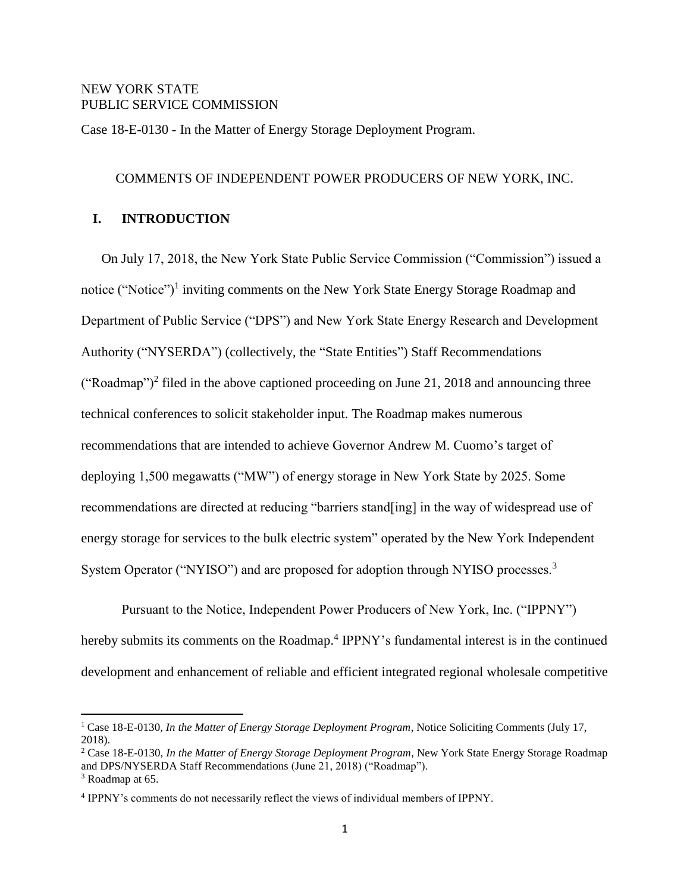## NEW YORK STATE PUBLIC SERVICE COMMISSION

Case 18-E-0130 - In the Matter of Energy Storage Deployment Program.

#### COMMENTS OF INDEPENDENT POWER PRODUCERS OF NEW YORK, INC.

### **I. INTRODUCTION**

On July 17, 2018, the New York State Public Service Commission ("Commission") issued a notice ("Notice")<sup>1</sup> inviting comments on the New York State Energy Storage Roadmap and Department of Public Service ("DPS") and New York State Energy Research and Development Authority ("NYSERDA") (collectively, the "State Entities") Staff Recommendations ("Roadmap")<sup>2</sup> filed in the above captioned proceeding on June 21, 2018 and announcing three technical conferences to solicit stakeholder input. The Roadmap makes numerous recommendations that are intended to achieve Governor Andrew M. Cuomo's target of deploying 1,500 megawatts ("MW") of energy storage in New York State by 2025. Some recommendations are directed at reducing "barriers stand[ing] in the way of widespread use of energy storage for services to the bulk electric system" operated by the New York Independent System Operator ("NYISO") and are proposed for adoption through NYISO processes.<sup>3</sup>

Pursuant to the Notice, Independent Power Producers of New York, Inc. ("IPPNY") hereby submits its comments on the Roadmap.<sup>4</sup> IPPNY's fundamental interest is in the continued development and enhancement of reliable and efficient integrated regional wholesale competitive

<sup>1</sup> Case 18-E-0130, *In the Matter of Energy Storage Deployment Program*, Notice Soliciting Comments (July 17, 2018).

<sup>2</sup> Case 18-E-0130, *In the Matter of Energy Storage Deployment Program*, New York State Energy Storage Roadmap and DPS/NYSERDA Staff Recommendations (June 21, 2018) ("Roadmap").

<sup>&</sup>lt;sup>3</sup> Roadmap at 65.

<sup>4</sup> IPPNY's comments do not necessarily reflect the views of individual members of IPPNY.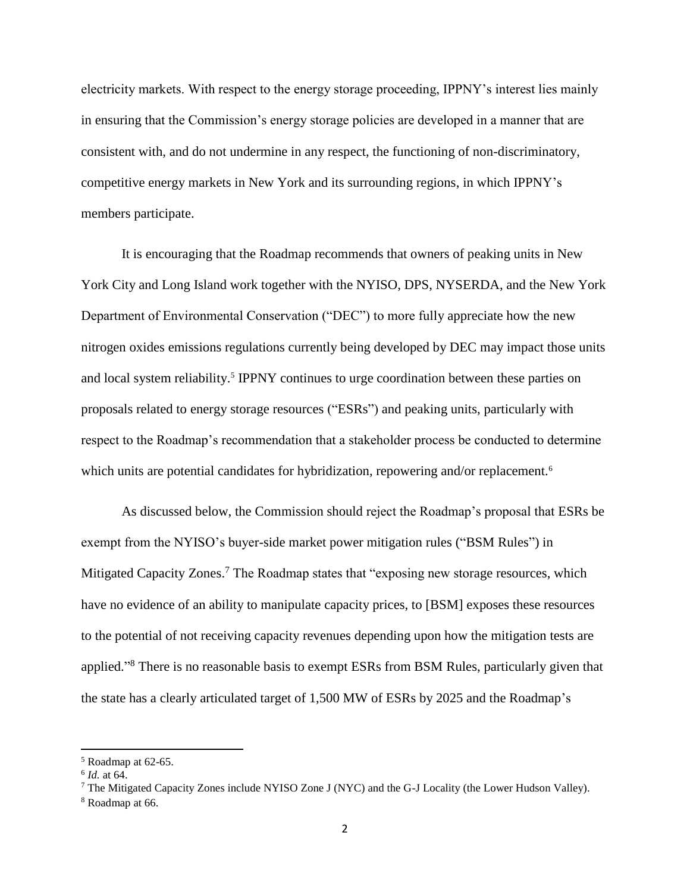electricity markets. With respect to the energy storage proceeding, IPPNY's interest lies mainly in ensuring that the Commission's energy storage policies are developed in a manner that are consistent with, and do not undermine in any respect, the functioning of non-discriminatory, competitive energy markets in New York and its surrounding regions, in which IPPNY's members participate.

It is encouraging that the Roadmap recommends that owners of peaking units in New York City and Long Island work together with the NYISO, DPS, NYSERDA, and the New York Department of Environmental Conservation ("DEC") to more fully appreciate how the new nitrogen oxides emissions regulations currently being developed by DEC may impact those units and local system reliability.<sup>5</sup> IPPNY continues to urge coordination between these parties on proposals related to energy storage resources ("ESRs") and peaking units, particularly with respect to the Roadmap's recommendation that a stakeholder process be conducted to determine which units are potential candidates for hybridization, repowering and/or replacement.<sup>6</sup>

As discussed below, the Commission should reject the Roadmap's proposal that ESRs be exempt from the NYISO's buyer-side market power mitigation rules ("BSM Rules") in Mitigated Capacity Zones.<sup>7</sup> The Roadmap states that "exposing new storage resources, which have no evidence of an ability to manipulate capacity prices, to [BSM] exposes these resources to the potential of not receiving capacity revenues depending upon how the mitigation tests are applied."<sup>8</sup> There is no reasonable basis to exempt ESRs from BSM Rules, particularly given that the state has a clearly articulated target of 1,500 MW of ESRs by 2025 and the Roadmap's

<sup>5</sup> Roadmap at 62-65.

<sup>6</sup> *Id.* at 64.

<sup>7</sup> The Mitigated Capacity Zones include NYISO Zone J (NYC) and the G-J Locality (the Lower Hudson Valley).

<sup>8</sup> Roadmap at 66.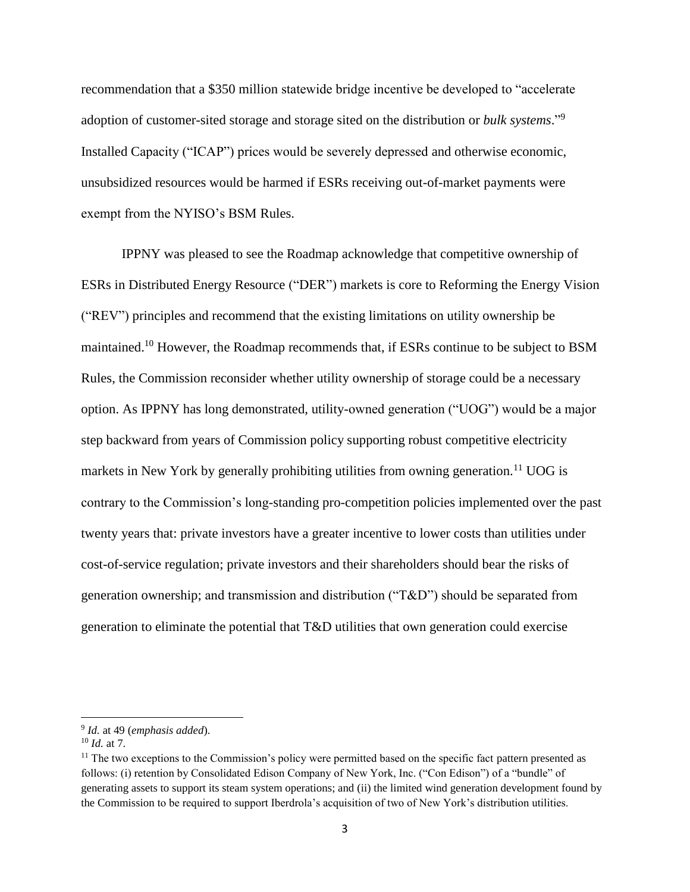recommendation that a \$350 million statewide bridge incentive be developed to "accelerate adoption of customer-sited storage and storage sited on the distribution or *bulk systems*." 9 Installed Capacity ("ICAP") prices would be severely depressed and otherwise economic, unsubsidized resources would be harmed if ESRs receiving out-of-market payments were exempt from the NYISO's BSM Rules.

IPPNY was pleased to see the Roadmap acknowledge that competitive ownership of ESRs in Distributed Energy Resource ("DER") markets is core to Reforming the Energy Vision ("REV") principles and recommend that the existing limitations on utility ownership be maintained.<sup>10</sup> However, the Roadmap recommends that, if ESRs continue to be subject to BSM Rules, the Commission reconsider whether utility ownership of storage could be a necessary option. As IPPNY has long demonstrated, utility-owned generation ("UOG") would be a major step backward from years of Commission policy supporting robust competitive electricity markets in New York by generally prohibiting utilities from owning generation.<sup>11</sup> UOG is contrary to the Commission's long-standing pro-competition policies implemented over the past twenty years that: private investors have a greater incentive to lower costs than utilities under cost-of-service regulation; private investors and their shareholders should bear the risks of generation ownership; and transmission and distribution ("T&D") should be separated from generation to eliminate the potential that T&D utilities that own generation could exercise

<sup>9</sup> *Id.* at 49 (*emphasis added*).

<sup>10</sup> *Id.* at 7.

<sup>&</sup>lt;sup>11</sup> The two exceptions to the Commission's policy were permitted based on the specific fact pattern presented as follows: (i) retention by Consolidated Edison Company of New York, Inc. ("Con Edison") of a "bundle" of generating assets to support its steam system operations; and (ii) the limited wind generation development found by the Commission to be required to support Iberdrola's acquisition of two of New York's distribution utilities.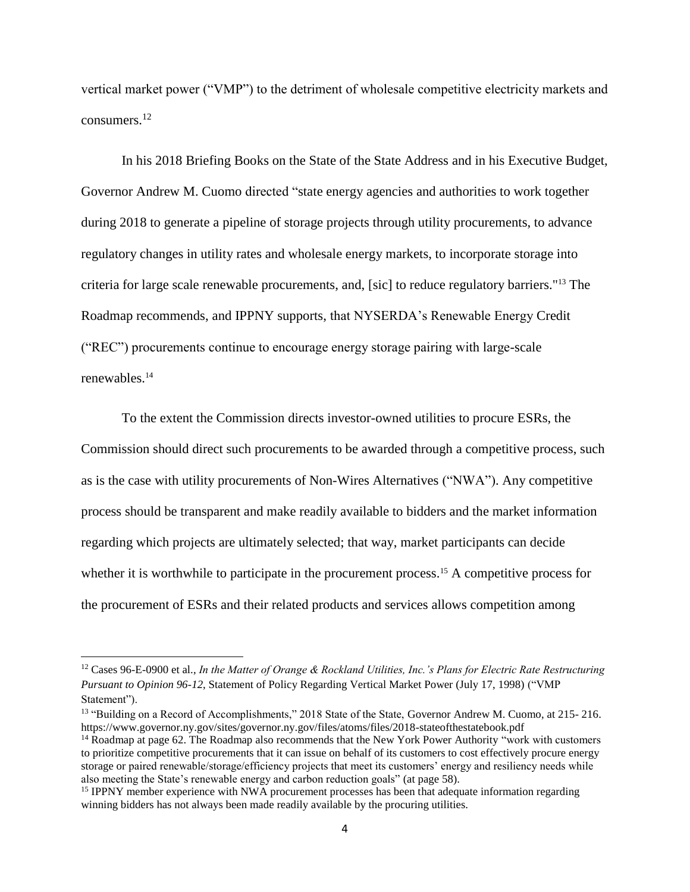vertical market power ("VMP") to the detriment of wholesale competitive electricity markets and consumers.<sup>12</sup>

In his 2018 Briefing Books on the State of the State Address and in his Executive Budget, Governor Andrew M. Cuomo directed "state energy agencies and authorities to work together during 2018 to generate a pipeline of storage projects through utility procurements, to advance regulatory changes in utility rates and wholesale energy markets, to incorporate storage into criteria for large scale renewable procurements, and, [sic] to reduce regulatory barriers."<sup>13</sup> The Roadmap recommends, and IPPNY supports, that NYSERDA's Renewable Energy Credit ("REC") procurements continue to encourage energy storage pairing with large-scale renewables.<sup>14</sup>

To the extent the Commission directs investor-owned utilities to procure ESRs, the Commission should direct such procurements to be awarded through a competitive process, such as is the case with utility procurements of Non-Wires Alternatives ("NWA"). Any competitive process should be transparent and make readily available to bidders and the market information regarding which projects are ultimately selected; that way, market participants can decide whether it is worthwhile to participate in the procurement process.<sup>15</sup> A competitive process for the procurement of ESRs and their related products and services allows competition among

<sup>12</sup> Cases 96-E-0900 et al., *In the Matter of Orange & Rockland Utilities, Inc.'s Plans for Electric Rate Restructuring Pursuant to Opinion 96-12*, Statement of Policy Regarding Vertical Market Power (July 17, 1998) ("VMP Statement").

<sup>&</sup>lt;sup>13</sup> "Building on a Record of Accomplishments," 2018 State of the State, Governor Andrew M. Cuomo, at 215-216. https://www.governor.ny.gov/sites/governor.ny.gov/files/atoms/files/2018-stateofthestatebook.pdf

<sup>&</sup>lt;sup>14</sup> Roadmap at page 62. The Roadmap also recommends that the New York Power Authority "work with customers" to prioritize competitive procurements that it can issue on behalf of its customers to cost effectively procure energy storage or paired renewable/storage/efficiency projects that meet its customers' energy and resiliency needs while also meeting the State's renewable energy and carbon reduction goals" (at page 58).

<sup>&</sup>lt;sup>15</sup> IPPNY member experience with NWA procurement processes has been that adequate information regarding winning bidders has not always been made readily available by the procuring utilities.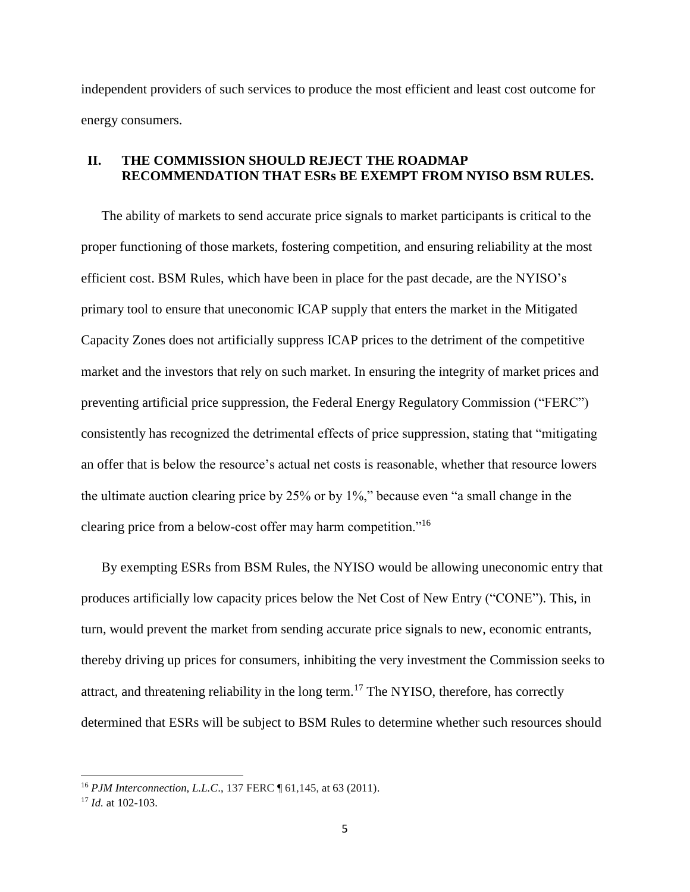independent providers of such services to produce the most efficient and least cost outcome for energy consumers.

# **II. THE COMMISSION SHOULD REJECT THE ROADMAP RECOMMENDATION THAT ESRs BE EXEMPT FROM NYISO BSM RULES.**

The ability of markets to send accurate price signals to market participants is critical to the proper functioning of those markets, fostering competition, and ensuring reliability at the most efficient cost. BSM Rules, which have been in place for the past decade, are the NYISO's primary tool to ensure that uneconomic ICAP supply that enters the market in the Mitigated Capacity Zones does not artificially suppress ICAP prices to the detriment of the competitive market and the investors that rely on such market. In ensuring the integrity of market prices and preventing artificial price suppression, the Federal Energy Regulatory Commission ("FERC") consistently has recognized the detrimental effects of price suppression, stating that "mitigating an offer that is below the resource's actual net costs is reasonable, whether that resource lowers the ultimate auction clearing price by 25% or by 1%," because even "a small change in the clearing price from a below-cost offer may harm competition."<sup>16</sup>

By exempting ESRs from BSM Rules, the NYISO would be allowing uneconomic entry that produces artificially low capacity prices below the Net Cost of New Entry ("CONE"). This, in turn, would prevent the market from sending accurate price signals to new, economic entrants, thereby driving up prices for consumers, inhibiting the very investment the Commission seeks to attract, and threatening reliability in the long term.<sup>17</sup> The NYISO, therefore, has correctly determined that ESRs will be subject to BSM Rules to determine whether such resources should

<sup>16</sup> *PJM Interconnection, L.L.C*., 137 FERC ¶ 61,145, at 63 (2011).

<sup>17</sup> *Id.* at 102-103.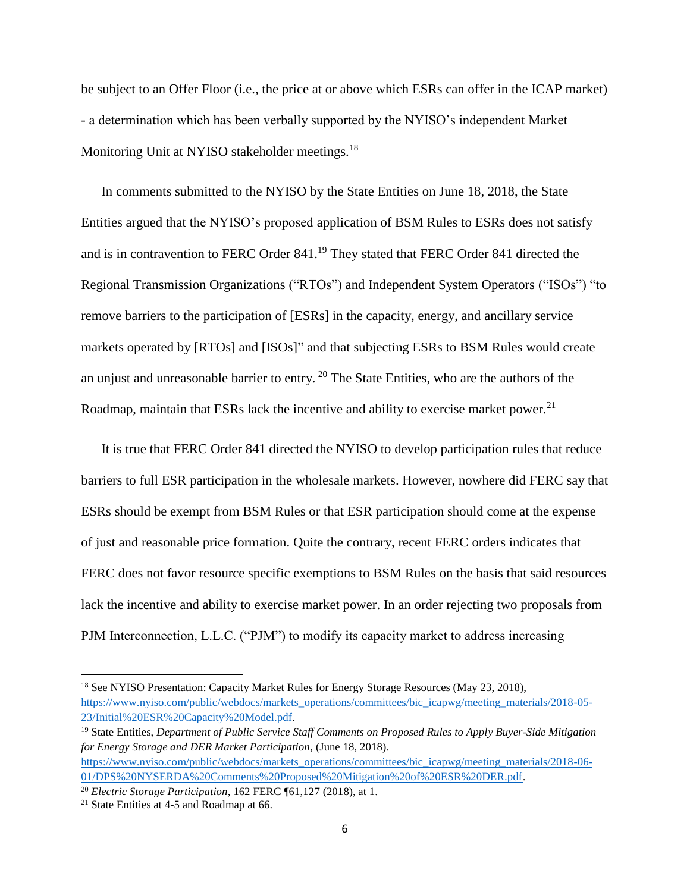be subject to an Offer Floor (i.e., the price at or above which ESRs can offer in the ICAP market) - a determination which has been verbally supported by the NYISO's independent Market Monitoring Unit at NYISO stakeholder meetings.<sup>18</sup>

In comments submitted to the NYISO by the State Entities on June 18, 2018, the State Entities argued that the NYISO's proposed application of BSM Rules to ESRs does not satisfy and is in contravention to FERC Order 841.<sup>19</sup> They stated that FERC Order 841 directed the Regional Transmission Organizations ("RTOs") and Independent System Operators ("ISOs") "to remove barriers to the participation of [ESRs] in the capacity, energy, and ancillary service markets operated by [RTOs] and [ISOs]" and that subjecting ESRs to BSM Rules would create an unjust and unreasonable barrier to entry.  $20$  The State Entities, who are the authors of the Roadmap, maintain that ESRs lack the incentive and ability to exercise market power.<sup>21</sup>

It is true that FERC Order 841 directed the NYISO to develop participation rules that reduce barriers to full ESR participation in the wholesale markets. However, nowhere did FERC say that ESRs should be exempt from BSM Rules or that ESR participation should come at the expense of just and reasonable price formation. Quite the contrary, recent FERC orders indicates that FERC does not favor resource specific exemptions to BSM Rules on the basis that said resources lack the incentive and ability to exercise market power. In an order rejecting two proposals from PJM Interconnection, L.L.C. ("PJM") to modify its capacity market to address increasing

l

<sup>&</sup>lt;sup>18</sup> See NYISO Presentation: Capacity Market Rules for Energy Storage Resources (May 23, 2018), [https://www.nyiso.com/public/webdocs/markets\\_operations/committees/bic\\_icapwg/meeting\\_materials/2018-05-](https://www.nyiso.com/public/webdocs/markets_operations/committees/bic_icapwg/meeting_materials/2018-05-23/Initial%20ESR%20Capacity%20Model.pdf) [23/Initial%20ESR%20Capacity%20Model.pdf.](https://www.nyiso.com/public/webdocs/markets_operations/committees/bic_icapwg/meeting_materials/2018-05-23/Initial%20ESR%20Capacity%20Model.pdf)

<sup>19</sup> State Entities, *Department of Public Service Staff Comments on Proposed Rules to Apply Buyer-Side Mitigation for Energy Storage and DER Market Participation,* (June 18, 2018).

[https://www.nyiso.com/public/webdocs/markets\\_operations/committees/bic\\_icapwg/meeting\\_materials/2018-06-](https://www.nyiso.com/public/webdocs/markets_operations/committees/bic_icapwg/meeting_materials/2018-06-01/DPS%20NYSERDA%20Comments%20Proposed%20Mitigation%20of%20ESR%20DER.pdf) [01/DPS%20NYSERDA%20Comments%20Proposed%20Mitigation%20of%20ESR%20DER.pdf.](https://www.nyiso.com/public/webdocs/markets_operations/committees/bic_icapwg/meeting_materials/2018-06-01/DPS%20NYSERDA%20Comments%20Proposed%20Mitigation%20of%20ESR%20DER.pdf)

<sup>20</sup> *Electric Storage Participation*, 162 FERC ¶61,127 (2018), at 1.

<sup>21</sup> State Entities at 4-5 and Roadmap at 66.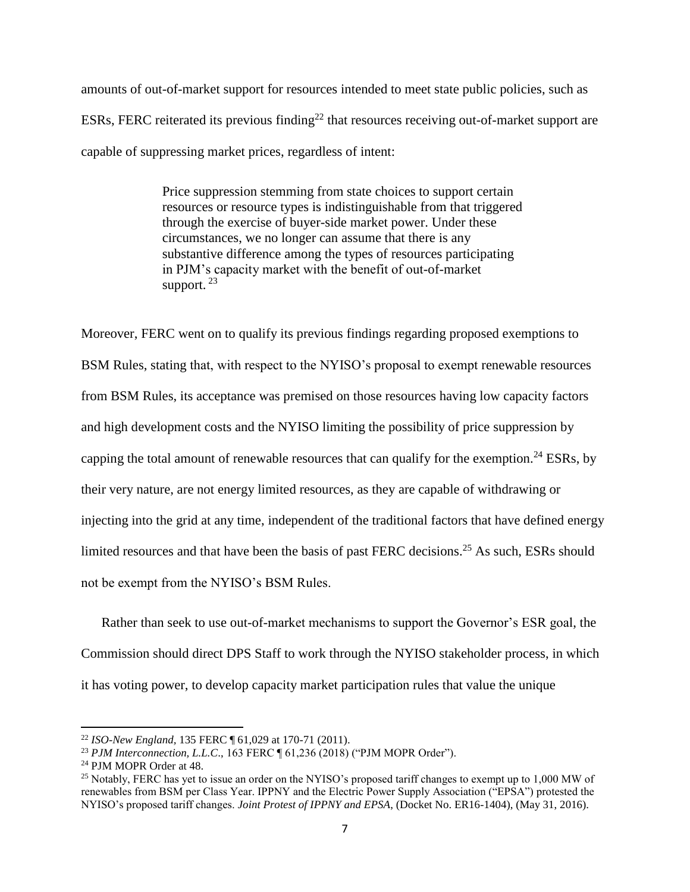amounts of out-of-market support for resources intended to meet state public policies, such as ESRs, FERC reiterated its previous finding<sup>22</sup> that resources receiving out-of-market support are capable of suppressing market prices, regardless of intent:

> Price suppression stemming from state choices to support certain resources or resource types is indistinguishable from that triggered through the exercise of buyer-side market power. Under these circumstances, we no longer can assume that there is any substantive difference among the types of resources participating in PJM's capacity market with the benefit of out-of-market support.  $23$

Moreover, FERC went on to qualify its previous findings regarding proposed exemptions to BSM Rules, stating that, with respect to the NYISO's proposal to exempt renewable resources from BSM Rules, its acceptance was premised on those resources having low capacity factors and high development costs and the NYISO limiting the possibility of price suppression by capping the total amount of renewable resources that can qualify for the exemption.<sup>24</sup> ESRs, by their very nature, are not energy limited resources, as they are capable of withdrawing or injecting into the grid at any time, independent of the traditional factors that have defined energy limited resources and that have been the basis of past FERC decisions.<sup>25</sup> As such, ESRs should not be exempt from the NYISO's BSM Rules.

Rather than seek to use out-of-market mechanisms to support the Governor's ESR goal, the Commission should direct DPS Staff to work through the NYISO stakeholder process, in which it has voting power, to develop capacity market participation rules that value the unique

<sup>22</sup> *ISO-New England,* 135 FERC ¶ 61,029 at 170-71 (2011).

<sup>23</sup> *PJM Interconnection, L.L.C*., 163 FERC ¶ 61,236 (2018) ("PJM MOPR Order").

<sup>24</sup> PJM MOPR Order at 48.

<sup>&</sup>lt;sup>25</sup> Notably, FERC has yet to issue an order on the NYISO's proposed tariff changes to exempt up to 1,000 MW of renewables from BSM per Class Year. IPPNY and the Electric Power Supply Association ("EPSA") protested the NYISO's proposed tariff changes. *Joint Protest of IPPNY and EPSA*, (Docket No. ER16-1404), (May 31, 2016).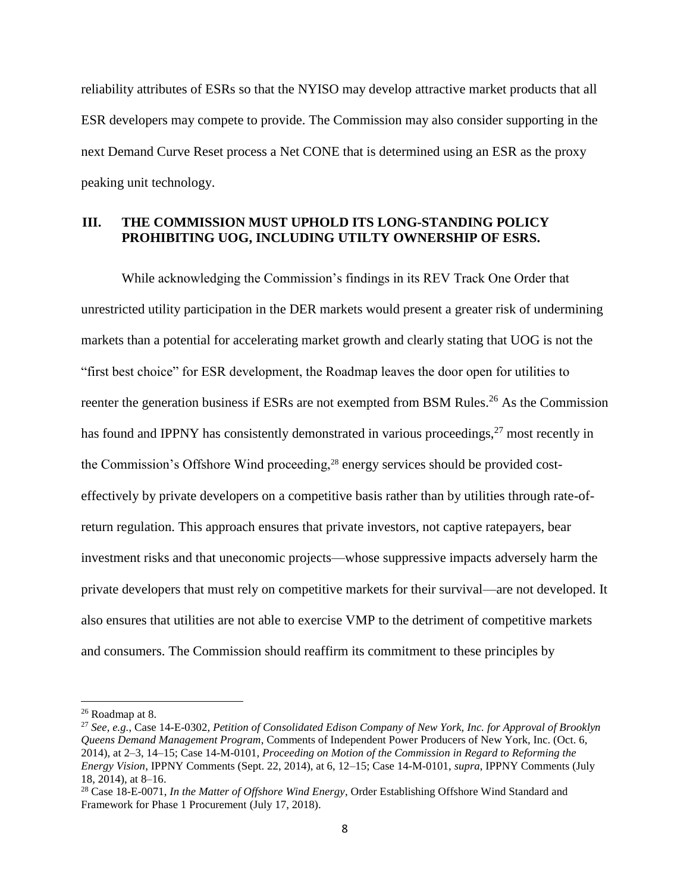reliability attributes of ESRs so that the NYISO may develop attractive market products that all ESR developers may compete to provide. The Commission may also consider supporting in the next Demand Curve Reset process a Net CONE that is determined using an ESR as the proxy peaking unit technology.

# **III. THE COMMISSION MUST UPHOLD ITS LONG-STANDING POLICY PROHIBITING UOG, INCLUDING UTILTY OWNERSHIP OF ESRS.**

While acknowledging the Commission's findings in its REV Track One Order that unrestricted utility participation in the DER markets would present a greater risk of undermining markets than a potential for accelerating market growth and clearly stating that UOG is not the "first best choice" for ESR development, the Roadmap leaves the door open for utilities to reenter the generation business if ESRs are not exempted from BSM Rules.<sup>26</sup> As the Commission has found and IPPNY has consistently demonstrated in various proceedings,  $27$  most recently in the Commission's Offshore Wind proceeding,<sup>28</sup> energy services should be provided costeffectively by private developers on a competitive basis rather than by utilities through rate-ofreturn regulation. This approach ensures that private investors, not captive ratepayers, bear investment risks and that uneconomic projects—whose suppressive impacts adversely harm the private developers that must rely on competitive markets for their survival—are not developed. It also ensures that utilities are not able to exercise VMP to the detriment of competitive markets and consumers. The Commission should reaffirm its commitment to these principles by

<sup>26</sup> Roadmap at 8.

<sup>27</sup> *See, e.g.*, Case 14-E-0302, *Petition of Consolidated Edison Company of New York, Inc. for Approval of Brooklyn Queens Demand Management Program*, Comments of Independent Power Producers of New York, Inc. (Oct. 6, 2014), at 2–3, 14–15; Case 14-M-0101, *Proceeding on Motion of the Commission in Regard to Reforming the Energy Vision*, IPPNY Comments (Sept. 22, 2014), at 6, 12–15; Case 14-M-0101, *supra*, IPPNY Comments (July 18, 2014), at 8–16.

<sup>28</sup> Case 18-E-0071, *In the Matter of Offshore Wind Energy*, Order Establishing Offshore Wind Standard and Framework for Phase 1 Procurement (July 17, 2018).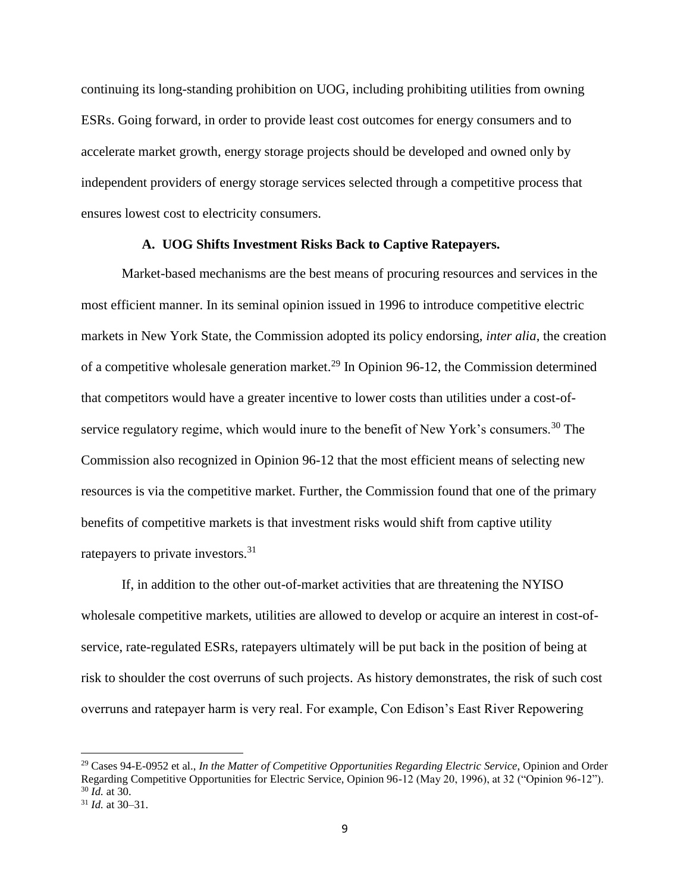continuing its long-standing prohibition on UOG, including prohibiting utilities from owning ESRs. Going forward, in order to provide least cost outcomes for energy consumers and to accelerate market growth, energy storage projects should be developed and owned only by independent providers of energy storage services selected through a competitive process that ensures lowest cost to electricity consumers.

#### **A. UOG Shifts Investment Risks Back to Captive Ratepayers.**

Market-based mechanisms are the best means of procuring resources and services in the most efficient manner. In its seminal opinion issued in 1996 to introduce competitive electric markets in New York State, the Commission adopted its policy endorsing, *inter alia*, the creation of a competitive wholesale generation market.<sup>29</sup> In Opinion 96-12, the Commission determined that competitors would have a greater incentive to lower costs than utilities under a cost-ofservice regulatory regime, which would inure to the benefit of New York's consumers.<sup>30</sup> The Commission also recognized in Opinion 96-12 that the most efficient means of selecting new resources is via the competitive market. Further, the Commission found that one of the primary benefits of competitive markets is that investment risks would shift from captive utility ratepayers to private investors.<sup>31</sup>

If, in addition to the other out-of-market activities that are threatening the NYISO wholesale competitive markets, utilities are allowed to develop or acquire an interest in cost-ofservice, rate-regulated ESRs, ratepayers ultimately will be put back in the position of being at risk to shoulder the cost overruns of such projects. As history demonstrates, the risk of such cost overruns and ratepayer harm is very real. For example, Con Edison's East River Repowering

<sup>29</sup> Cases 94-E-0952 et al., *In the Matter of Competitive Opportunities Regarding Electric Service*, Opinion and Order Regarding Competitive Opportunities for Electric Service, Opinion 96-12 (May 20, 1996), at 32 ("Opinion 96-12"). <sup>30</sup> *Id.* at 30.

<sup>31</sup> *Id.* at 30–31.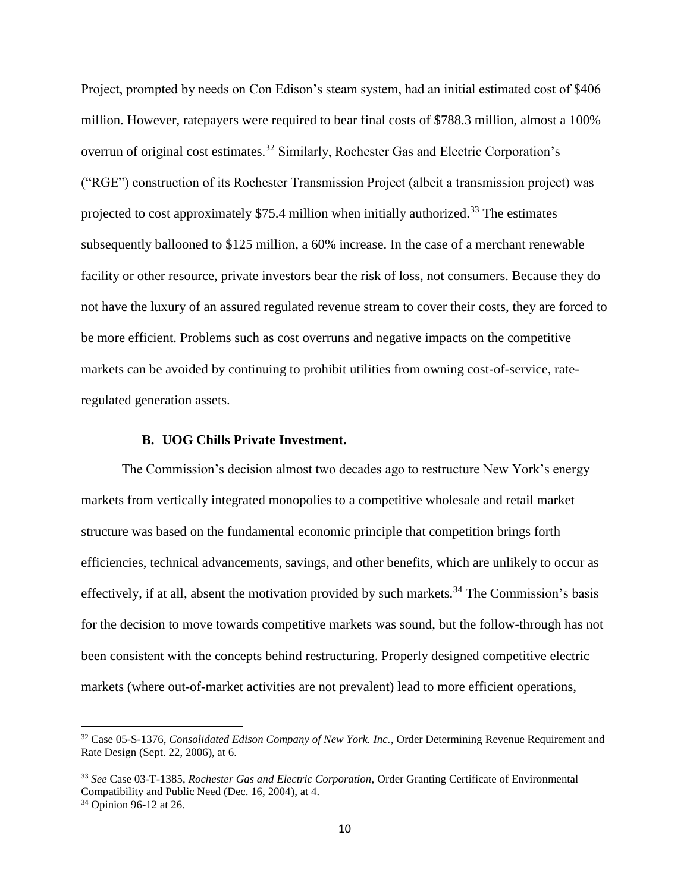Project, prompted by needs on Con Edison's steam system, had an initial estimated cost of \$406 million. However, ratepayers were required to bear final costs of \$788.3 million, almost a 100% overrun of original cost estimates.<sup>32</sup> Similarly, Rochester Gas and Electric Corporation's ("RGE") construction of its Rochester Transmission Project (albeit a transmission project) was projected to cost approximately \$75.4 million when initially authorized.<sup>33</sup> The estimates subsequently ballooned to \$125 million, a 60% increase. In the case of a merchant renewable facility or other resource, private investors bear the risk of loss, not consumers. Because they do not have the luxury of an assured regulated revenue stream to cover their costs, they are forced to be more efficient. Problems such as cost overruns and negative impacts on the competitive markets can be avoided by continuing to prohibit utilities from owning cost-of-service, rateregulated generation assets.

### **B. UOG Chills Private Investment.**

The Commission's decision almost two decades ago to restructure New York's energy markets from vertically integrated monopolies to a competitive wholesale and retail market structure was based on the fundamental economic principle that competition brings forth efficiencies, technical advancements, savings, and other benefits, which are unlikely to occur as effectively, if at all, absent the motivation provided by such markets.<sup>34</sup> The Commission's basis for the decision to move towards competitive markets was sound, but the follow-through has not been consistent with the concepts behind restructuring. Properly designed competitive electric markets (where out-of-market activities are not prevalent) lead to more efficient operations,

l

<sup>32</sup> Case 05-S-1376, *Consolidated Edison Company of New York. Inc.*, Order Determining Revenue Requirement and Rate Design (Sept. 22, 2006), at 6.

<sup>33</sup> *See* Case 03-T-1385, *Rochester Gas and Electric Corporation,* Order Granting Certificate of Environmental Compatibility and Public Need (Dec. 16, 2004), at 4.

<sup>34</sup> Opinion 96-12 at 26.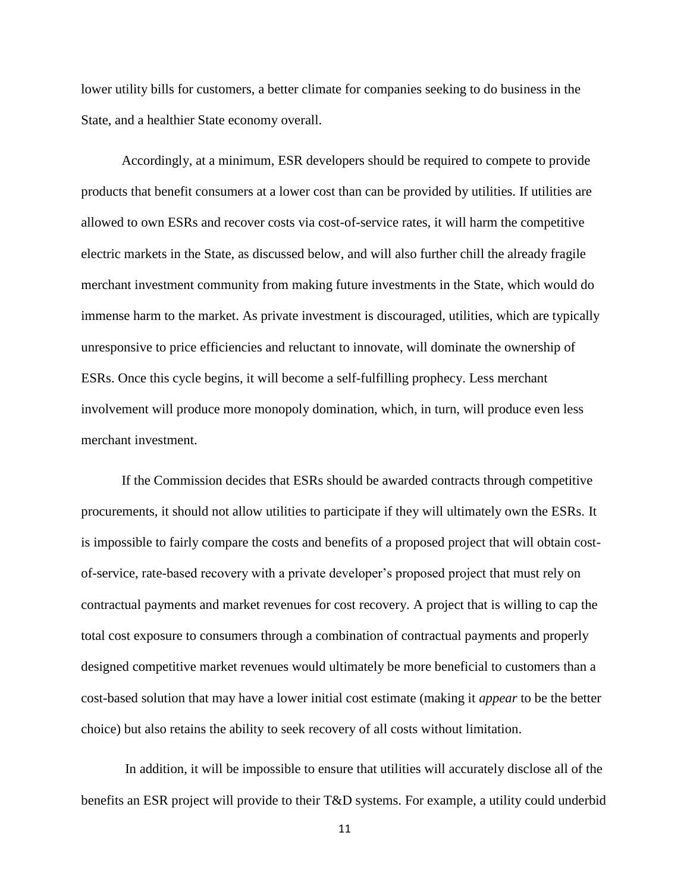lower utility bills for customers, a better climate for companies seeking to do business in the State, and a healthier State economy overall.

Accordingly, at a minimum, ESR developers should be required to compete to provide products that benefit consumers at a lower cost than can be provided by utilities. If utilities are allowed to own ESRs and recover costs via cost-of-service rates, it will harm the competitive electric markets in the State, as discussed below, and will also further chill the already fragile merchant investment community from making future investments in the State, which would do immense harm to the market. As private investment is discouraged, utilities, which are typically unresponsive to price efficiencies and reluctant to innovate, will dominate the ownership of ESRs. Once this cycle begins, it will become a self-fulfilling prophecy. Less merchant involvement will produce more monopoly domination, which, in turn, will produce even less merchant investment.

If the Commission decides that ESRs should be awarded contracts through competitive procurements, it should not allow utilities to participate if they will ultimately own the ESRs. It is impossible to fairly compare the costs and benefits of a proposed project that will obtain costof-service, rate-based recovery with a private developer's proposed project that must rely on contractual payments and market revenues for cost recovery. A project that is willing to cap the total cost exposure to consumers through a combination of contractual payments and properly designed competitive market revenues would ultimately be more beneficial to customers than a cost-based solution that may have a lower initial cost estimate (making it *appear* to be the better choice) but also retains the ability to seek recovery of all costs without limitation.

In addition, it will be impossible to ensure that utilities will accurately disclose all of the benefits an ESR project will provide to their T&D systems. For example, a utility could underbid

11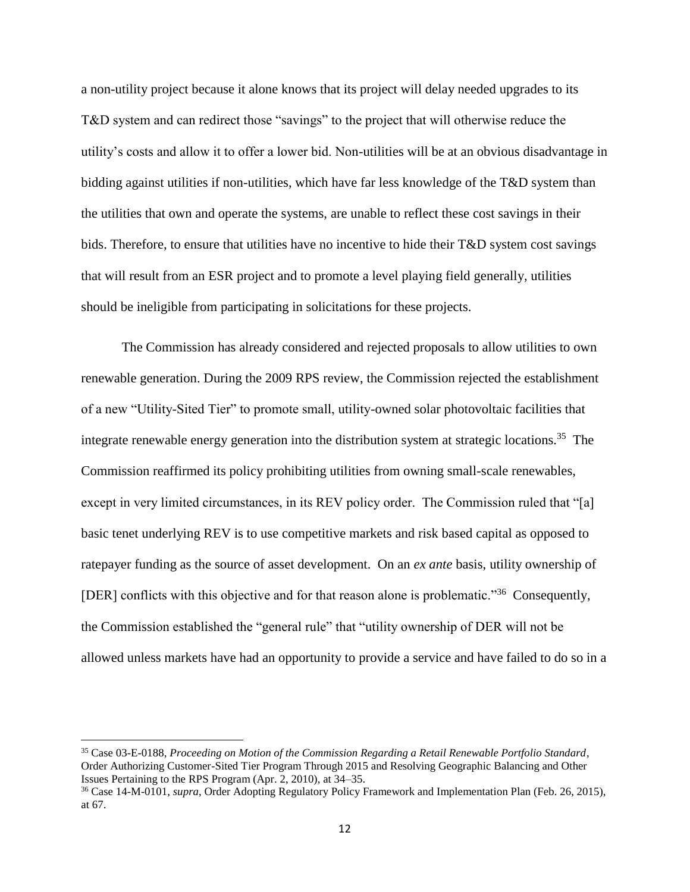a non-utility project because it alone knows that its project will delay needed upgrades to its T&D system and can redirect those "savings" to the project that will otherwise reduce the utility's costs and allow it to offer a lower bid. Non-utilities will be at an obvious disadvantage in bidding against utilities if non-utilities, which have far less knowledge of the T&D system than the utilities that own and operate the systems, are unable to reflect these cost savings in their bids. Therefore, to ensure that utilities have no incentive to hide their T&D system cost savings that will result from an ESR project and to promote a level playing field generally, utilities should be ineligible from participating in solicitations for these projects.

The Commission has already considered and rejected proposals to allow utilities to own renewable generation. During the 2009 RPS review, the Commission rejected the establishment of a new "Utility-Sited Tier" to promote small, utility-owned solar photovoltaic facilities that integrate renewable energy generation into the distribution system at strategic locations.<sup>35</sup> The Commission reaffirmed its policy prohibiting utilities from owning small-scale renewables, except in very limited circumstances, in its REV policy order. The Commission ruled that "[a] basic tenet underlying REV is to use competitive markets and risk based capital as opposed to ratepayer funding as the source of asset development. On an *ex ante* basis, utility ownership of [DER] conflicts with this objective and for that reason alone is problematic."<sup>36</sup> Consequently, the Commission established the "general rule" that "utility ownership of DER will not be allowed unless markets have had an opportunity to provide a service and have failed to do so in a

l

<sup>35</sup> Case 03-E-0188, *Proceeding on Motion of the Commission Regarding a Retail Renewable Portfolio Standard*, Order Authorizing Customer-Sited Tier Program Through 2015 and Resolving Geographic Balancing and Other Issues Pertaining to the RPS Program (Apr. 2, 2010), at 34–35.

<sup>36</sup> Case 14-M-0101, *supra*, Order Adopting Regulatory Policy Framework and Implementation Plan (Feb. 26, 2015), at 67.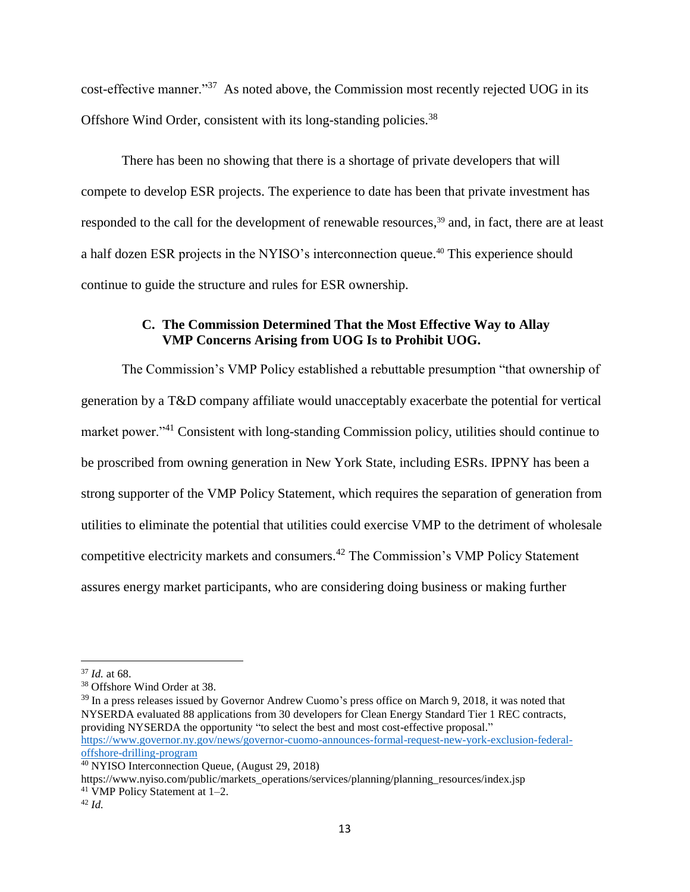cost-effective manner."<sup>37</sup> As noted above, the Commission most recently rejected UOG in its Offshore Wind Order, consistent with its long-standing policies.<sup>38</sup>

There has been no showing that there is a shortage of private developers that will compete to develop ESR projects. The experience to date has been that private investment has responded to the call for the development of renewable resources,<sup>39</sup> and, in fact, there are at least a half dozen ESR projects in the NYISO's interconnection queue. <sup>40</sup> This experience should continue to guide the structure and rules for ESR ownership.

# **C. The Commission Determined That the Most Effective Way to Allay VMP Concerns Arising from UOG Is to Prohibit UOG.**

The Commission's VMP Policy established a rebuttable presumption "that ownership of generation by a T&D company affiliate would unacceptably exacerbate the potential for vertical market power."<sup>41</sup> Consistent with long-standing Commission policy, utilities should continue to be proscribed from owning generation in New York State, including ESRs. IPPNY has been a strong supporter of the VMP Policy Statement, which requires the separation of generation from utilities to eliminate the potential that utilities could exercise VMP to the detriment of wholesale competitive electricity markets and consumers.<sup>42</sup> The Commission's VMP Policy Statement assures energy market participants, who are considering doing business or making further

 $\overline{a}$ 

https://www.nyiso.com/public/markets\_operations/services/planning/planning\_resources/index.jsp

<sup>37</sup> *Id.* at 68.

<sup>38</sup> Offshore Wind Order at 38.

<sup>&</sup>lt;sup>39</sup> In a press releases issued by Governor Andrew Cuomo's press office on March 9, 2018, it was noted that NYSERDA evaluated 88 applications from 30 developers for Clean Energy Standard Tier 1 REC contracts, providing NYSERDA the opportunity "to select the best and most cost-effective proposal." [https://www.governor.ny.gov/news/governor-cuomo-announces-formal-request-new-york-exclusion-federal](https://www.governor.ny.gov/news/governor-cuomo-announces-formal-request-new-york-exclusion-federal-offshore-drilling-program)[offshore-drilling-program](https://www.governor.ny.gov/news/governor-cuomo-announces-formal-request-new-york-exclusion-federal-offshore-drilling-program)

<sup>40</sup> NYISO Interconnection Queue, (August 29, 2018)

<sup>&</sup>lt;sup>41</sup> VMP Policy Statement at  $1-2$ .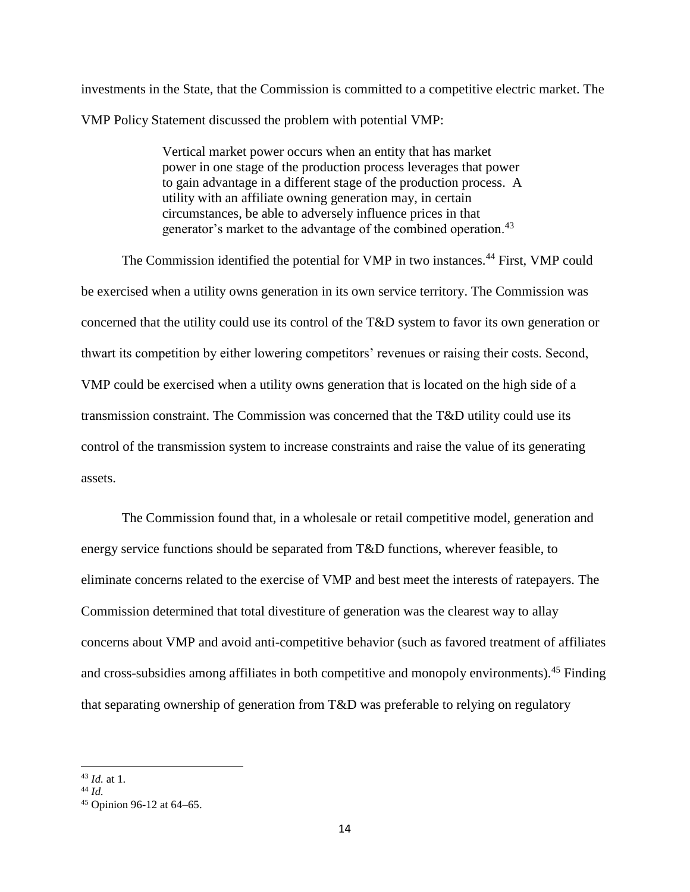investments in the State, that the Commission is committed to a competitive electric market. The VMP Policy Statement discussed the problem with potential VMP:

> Vertical market power occurs when an entity that has market power in one stage of the production process leverages that power to gain advantage in a different stage of the production process. A utility with an affiliate owning generation may, in certain circumstances, be able to adversely influence prices in that generator's market to the advantage of the combined operation.<sup>43</sup>

The Commission identified the potential for VMP in two instances.<sup>44</sup> First, VMP could be exercised when a utility owns generation in its own service territory. The Commission was concerned that the utility could use its control of the T&D system to favor its own generation or thwart its competition by either lowering competitors' revenues or raising their costs. Second, VMP could be exercised when a utility owns generation that is located on the high side of a transmission constraint. The Commission was concerned that the T&D utility could use its control of the transmission system to increase constraints and raise the value of its generating assets.

The Commission found that, in a wholesale or retail competitive model, generation and energy service functions should be separated from T&D functions, wherever feasible, to eliminate concerns related to the exercise of VMP and best meet the interests of ratepayers. The Commission determined that total divestiture of generation was the clearest way to allay concerns about VMP and avoid anti-competitive behavior (such as favored treatment of affiliates and cross-subsidies among affiliates in both competitive and monopoly environments).<sup>45</sup> Finding that separating ownership of generation from T&D was preferable to relying on regulatory

<sup>43</sup> *Id.* at 1.

<sup>44</sup> *Id.*

<sup>45</sup> Opinion 96-12 at 64–65.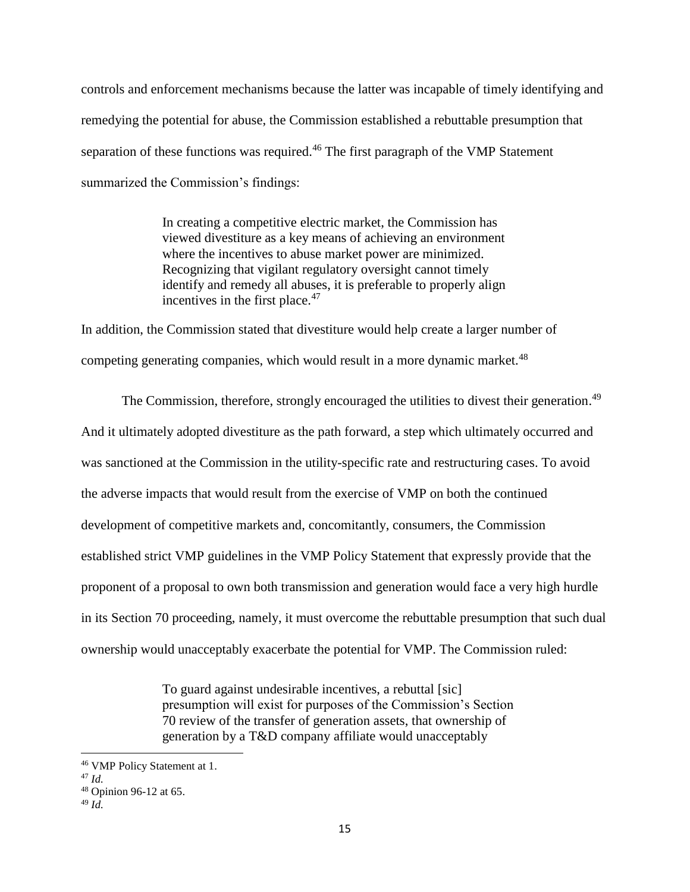controls and enforcement mechanisms because the latter was incapable of timely identifying and remedying the potential for abuse, the Commission established a rebuttable presumption that separation of these functions was required.<sup>46</sup> The first paragraph of the VMP Statement summarized the Commission's findings:

> In creating a competitive electric market, the Commission has viewed divestiture as a key means of achieving an environment where the incentives to abuse market power are minimized. Recognizing that vigilant regulatory oversight cannot timely identify and remedy all abuses, it is preferable to properly align incentives in the first place.<sup>47</sup>

In addition, the Commission stated that divestiture would help create a larger number of competing generating companies, which would result in a more dynamic market.<sup>48</sup>

The Commission, therefore, strongly encouraged the utilities to divest their generation.<sup>49</sup> And it ultimately adopted divestiture as the path forward, a step which ultimately occurred and was sanctioned at the Commission in the utility-specific rate and restructuring cases. To avoid the adverse impacts that would result from the exercise of VMP on both the continued development of competitive markets and, concomitantly, consumers, the Commission established strict VMP guidelines in the VMP Policy Statement that expressly provide that the proponent of a proposal to own both transmission and generation would face a very high hurdle in its Section 70 proceeding, namely, it must overcome the rebuttable presumption that such dual ownership would unacceptably exacerbate the potential for VMP. The Commission ruled:

> To guard against undesirable incentives, a rebuttal [sic] presumption will exist for purposes of the Commission's Section 70 review of the transfer of generation assets, that ownership of generation by a T&D company affiliate would unacceptably

<sup>46</sup> VMP Policy Statement at 1.

<sup>47</sup> *Id.*

<sup>48</sup> Opinion 96-12 at 65.

<sup>49</sup> *Id.*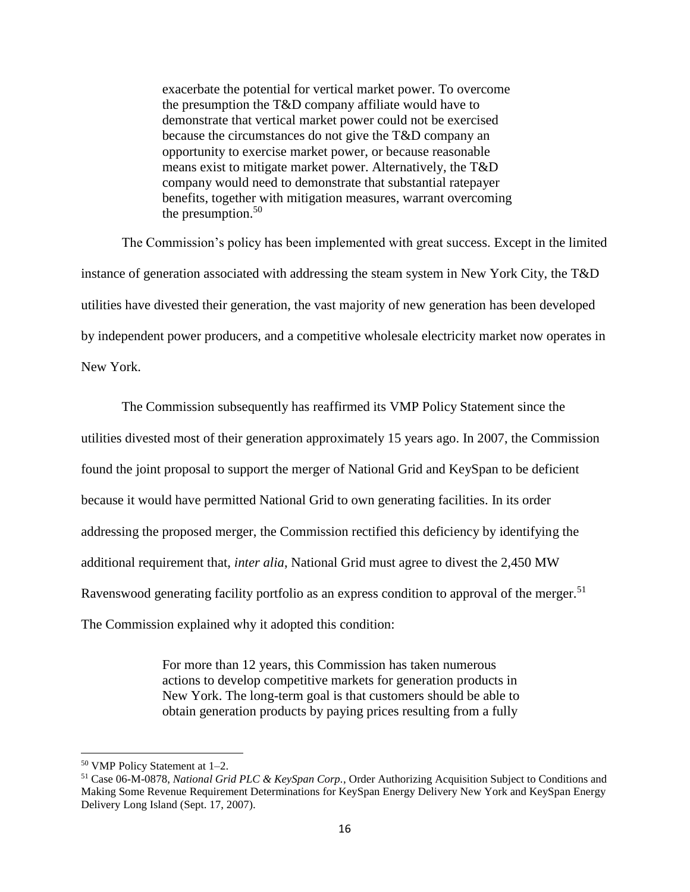exacerbate the potential for vertical market power. To overcome the presumption the T&D company affiliate would have to demonstrate that vertical market power could not be exercised because the circumstances do not give the T&D company an opportunity to exercise market power, or because reasonable means exist to mitigate market power. Alternatively, the T&D company would need to demonstrate that substantial ratepayer benefits, together with mitigation measures, warrant overcoming the presumption. $50$ 

The Commission's policy has been implemented with great success. Except in the limited instance of generation associated with addressing the steam system in New York City, the T&D utilities have divested their generation, the vast majority of new generation has been developed by independent power producers, and a competitive wholesale electricity market now operates in New York.

The Commission subsequently has reaffirmed its VMP Policy Statement since the utilities divested most of their generation approximately 15 years ago. In 2007, the Commission found the joint proposal to support the merger of National Grid and KeySpan to be deficient because it would have permitted National Grid to own generating facilities. In its order addressing the proposed merger, the Commission rectified this deficiency by identifying the additional requirement that, *inter alia*, National Grid must agree to divest the 2,450 MW Ravenswood generating facility portfolio as an express condition to approval of the merger.<sup>51</sup> The Commission explained why it adopted this condition:

> For more than 12 years, this Commission has taken numerous actions to develop competitive markets for generation products in New York. The long-term goal is that customers should be able to obtain generation products by paying prices resulting from a fully

<sup>50</sup> VMP Policy Statement at 1–2.

<sup>51</sup> Case 06-M-0878, *National Grid PLC & KeySpan Corp.*, Order Authorizing Acquisition Subject to Conditions and Making Some Revenue Requirement Determinations for KeySpan Energy Delivery New York and KeySpan Energy Delivery Long Island (Sept. 17, 2007).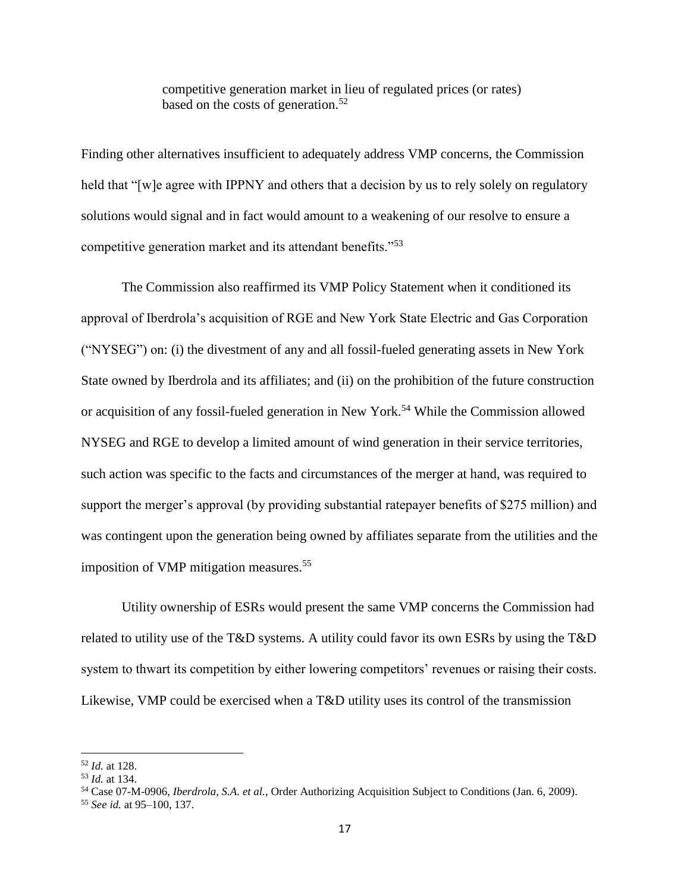competitive generation market in lieu of regulated prices (or rates) based on the costs of generation.<sup>52</sup>

Finding other alternatives insufficient to adequately address VMP concerns, the Commission held that "[w]e agree with IPPNY and others that a decision by us to rely solely on regulatory solutions would signal and in fact would amount to a weakening of our resolve to ensure a competitive generation market and its attendant benefits."<sup>53</sup>

The Commission also reaffirmed its VMP Policy Statement when it conditioned its approval of Iberdrola's acquisition of RGE and New York State Electric and Gas Corporation ("NYSEG") on: (i) the divestment of any and all fossil-fueled generating assets in New York State owned by Iberdrola and its affiliates; and (ii) on the prohibition of the future construction or acquisition of any fossil-fueled generation in New York. <sup>54</sup> While the Commission allowed NYSEG and RGE to develop a limited amount of wind generation in their service territories, such action was specific to the facts and circumstances of the merger at hand, was required to support the merger's approval (by providing substantial ratepayer benefits of \$275 million) and was contingent upon the generation being owned by affiliates separate from the utilities and the imposition of VMP mitigation measures.<sup>55</sup>

Utility ownership of ESRs would present the same VMP concerns the Commission had related to utility use of the T&D systems. A utility could favor its own ESRs by using the T&D system to thwart its competition by either lowering competitors' revenues or raising their costs. Likewise, VMP could be exercised when a T&D utility uses its control of the transmission

<sup>52</sup> *Id.* at 128.

<sup>53</sup> *Id.* at 134.

<sup>54</sup> Case 07-M-0906, *Iberdrola, S.A. et al.*, Order Authorizing Acquisition Subject to Conditions (Jan. 6, 2009).

<sup>55</sup> *See id.* at 95–100, 137.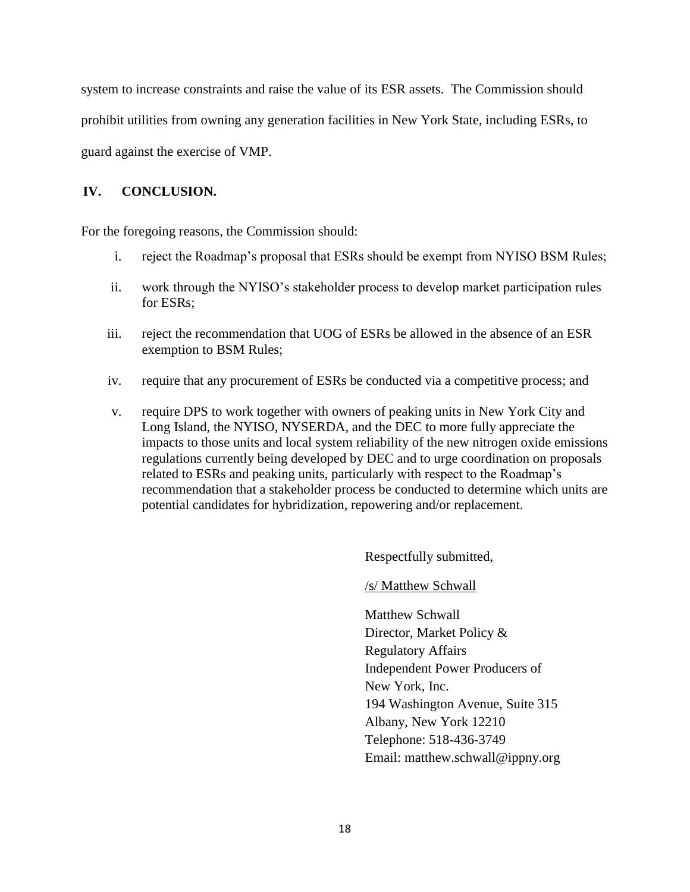system to increase constraints and raise the value of its ESR assets. The Commission should prohibit utilities from owning any generation facilities in New York State, including ESRs, to guard against the exercise of VMP.

### **IV. CONCLUSION.**

For the foregoing reasons, the Commission should:

- i. reject the Roadmap's proposal that ESRs should be exempt from NYISO BSM Rules;
- ii. work through the NYISO's stakeholder process to develop market participation rules for ESRs;
- iii. reject the recommendation that UOG of ESRs be allowed in the absence of an ESR exemption to BSM Rules;
- iv. require that any procurement of ESRs be conducted via a competitive process; and
- v. require DPS to work together with owners of peaking units in New York City and Long Island, the NYISO, NYSERDA, and the DEC to more fully appreciate the impacts to those units and local system reliability of the new nitrogen oxide emissions regulations currently being developed by DEC and to urge coordination on proposals related to ESRs and peaking units, particularly with respect to the Roadmap's recommendation that a stakeholder process be conducted to determine which units are potential candidates for hybridization, repowering and/or replacement.

Respectfully submitted,

/s/ Matthew Schwall

Matthew Schwall Director, Market Policy & Regulatory Affairs Independent Power Producers of New York, Inc. 194 Washington Avenue, Suite 315 Albany, New York 12210 Telephone: 518-436-3749 Email: matthew.schwall@ippny.org